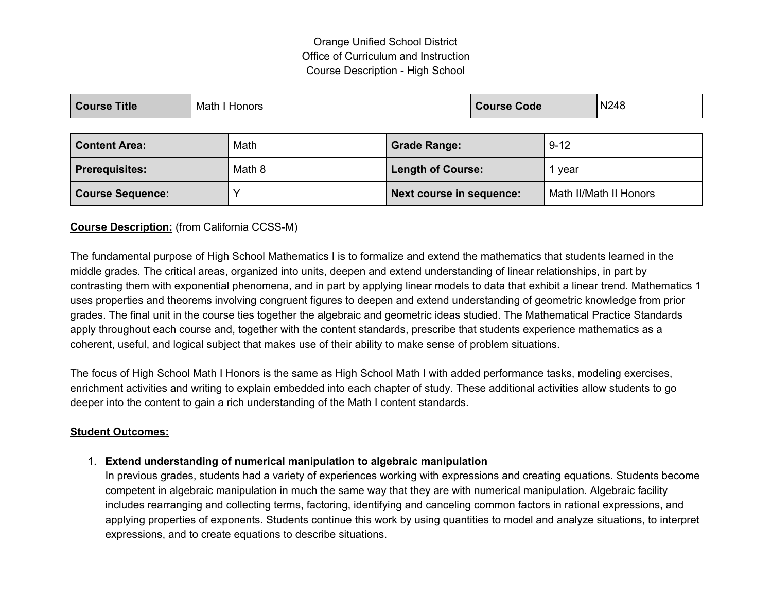# Orange Unified School District Office of Curriculum and Instruction Course Description - High School

| <b>Title</b><br>Course <sup>'</sup> | Math<br><b>Honors</b> | <b>Course Code</b> | N248 |
|-------------------------------------|-----------------------|--------------------|------|
|-------------------------------------|-----------------------|--------------------|------|

| <b>Content Area:</b>    | Math   | <b>Grade Range:</b>             | $9 - 12$               |
|-------------------------|--------|---------------------------------|------------------------|
| <b>Prerequisites:</b>   | Math 8 | Length of Course:               | vear                   |
| <b>Course Sequence:</b> |        | <b>Next course in sequence:</b> | Math II/Math II Honors |

## **Course Description:** (from California CCSS-M)

The fundamental purpose of High School Mathematics I is to formalize and extend the mathematics that students learned in the middle grades. The critical areas, organized into units, deepen and extend understanding of linear relationships, in part by contrasting them with exponential phenomena, and in part by applying linear models to data that exhibit a linear trend. Mathematics 1 uses properties and theorems involving congruent figures to deepen and extend understanding of geometric knowledge from prior grades. The final unit in the course ties together the algebraic and geometric ideas studied. The Mathematical Practice Standards apply throughout each course and, together with the content standards, prescribe that students experience mathematics as a coherent, useful, and logical subject that makes use of their ability to make sense of problem situations.

The focus of High School Math I Honors is the same as High School Math I with added performance tasks, modeling exercises, enrichment activities and writing to explain embedded into each chapter of study. These additional activities allow students to go deeper into the content to gain a rich understanding of the Math I content standards.

#### **Student Outcomes:**

## 1. **Extend understanding of numerical manipulation to algebraic manipulation**

In previous grades, students had a variety of experiences working with expressions and creating equations. Students become competent in algebraic manipulation in much the same way that they are with numerical manipulation. Algebraic facility includes rearranging and collecting terms, factoring, identifying and canceling common factors in rational expressions, and applying properties of exponents. Students continue this work by using quantities to model and analyze situations, to interpret expressions, and to create equations to describe situations.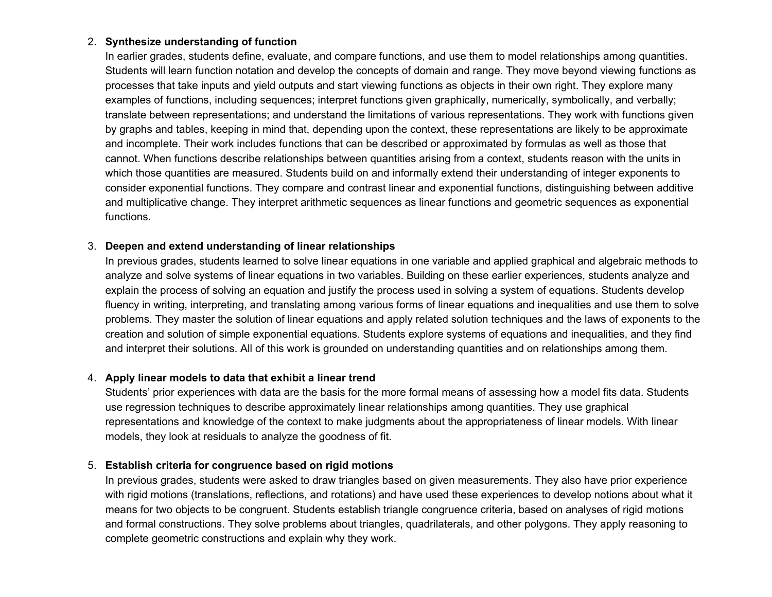#### 2. **Synthesize understanding of function**

In earlier grades, students define, evaluate, and compare functions, and use them to model relationships among quantities. Students will learn function notation and develop the concepts of domain and range. They move beyond viewing functions as processes that take inputs and yield outputs and start viewing functions as objects in their own right. They explore many examples of functions, including sequences; interpret functions given graphically, numerically, symbolically, and verbally; translate between representations; and understand the limitations of various representations. They work with functions given by graphs and tables, keeping in mind that, depending upon the context, these representations are likely to be approximate and incomplete. Their work includes functions that can be described or approximated by formulas as well as those that cannot. When functions describe relationships between quantities arising from a context, students reason with the units in which those quantities are measured. Students build on and informally extend their understanding of integer exponents to consider exponential functions. They compare and contrast linear and exponential functions, distinguishing between additive and multiplicative change. They interpret arithmetic sequences as linear functions and geometric sequences as exponential functions.

#### 3. **Deepen and extend understanding of linear relationships**

In previous grades, students learned to solve linear equations in one variable and applied graphical and algebraic methods to analyze and solve systems of linear equations in two variables. Building on these earlier experiences, students analyze and explain the process of solving an equation and justify the process used in solving a system of equations. Students develop fluency in writing, interpreting, and translating among various forms of linear equations and inequalities and use them to solve problems. They master the solution of linear equations and apply related solution techniques and the laws of exponents to the creation and solution of simple exponential equations. Students explore systems of equations and inequalities, and they find and interpret their solutions. All of this work is grounded on understanding quantities and on relationships among them.

#### 4. **Apply linear models to data that exhibit a linear trend**

Students' prior experiences with data are the basis for the more formal means of assessing how a model fits data. Students use regression techniques to describe approximately linear relationships among quantities. They use graphical representations and knowledge of the context to make judgments about the appropriateness of linear models. With linear models, they look at residuals to analyze the goodness of fit.

#### 5. **Establish criteria for congruence based on rigid motions**

In previous grades, students were asked to draw triangles based on given measurements. They also have prior experience with rigid motions (translations, reflections, and rotations) and have used these experiences to develop notions about what it means for two objects to be congruent. Students establish triangle congruence criteria, based on analyses of rigid motions and formal constructions. They solve problems about triangles, quadrilaterals, and other polygons. They apply reasoning to complete geometric constructions and explain why they work.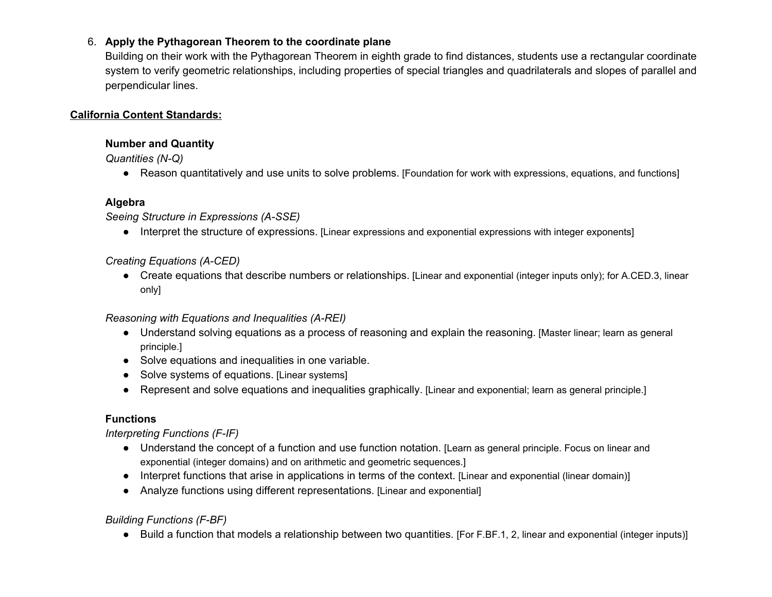# 6. **Apply the Pythagorean Theorem to the coordinate plane**

Building on their work with the Pythagorean Theorem in eighth grade to find distances, students use a rectangular coordinate system to verify geometric relationships, including properties of special triangles and quadrilaterals and slopes of parallel and perpendicular lines.

## **California Content Standards:**

#### **Number and Quantity**

*Quantities (N-Q)*

• Reason quantitatively and use units to solve problems. [Foundation for work with expressions, equations, and functions]

# **Algebra**

*Seeing Structure in Expressions (A-SSE)*

● Interpret the structure of expressions. [Linear expressions and exponential expressions with integer exponents]

# *Creating Equations (A-CED)*

● Create equations that describe numbers or relationships. [Linear and exponential (integer inputs only); for A.CED.3, linear only]

## *Reasoning with Equations and Inequalities (A-REI)*

- Understand solving equations as a process of reasoning and explain the reasoning. [Master linear; learn as general principle.]
- Solve equations and inequalities in one variable.
- Solve systems of equations. [Linear systems]
- Represent and solve equations and inequalities graphically. [Linear and exponential; learn as general principle.]

# **Functions**

## *Interpreting Functions (F-IF)*

- Understand the concept of a function and use function notation. [Learn as general principle. Focus on linear and exponential (integer domains) and on arithmetic and geometric sequences.]
- Interpret functions that arise in applications in terms of the context. [Linear and exponential (linear domain)]
- Analyze functions using different representations. [Linear and exponential]

# *Building Functions (F-BF)*

● Build a function that models a relationship between two quantities. [For F.BF.1, 2, linear and exponential (integer inputs)]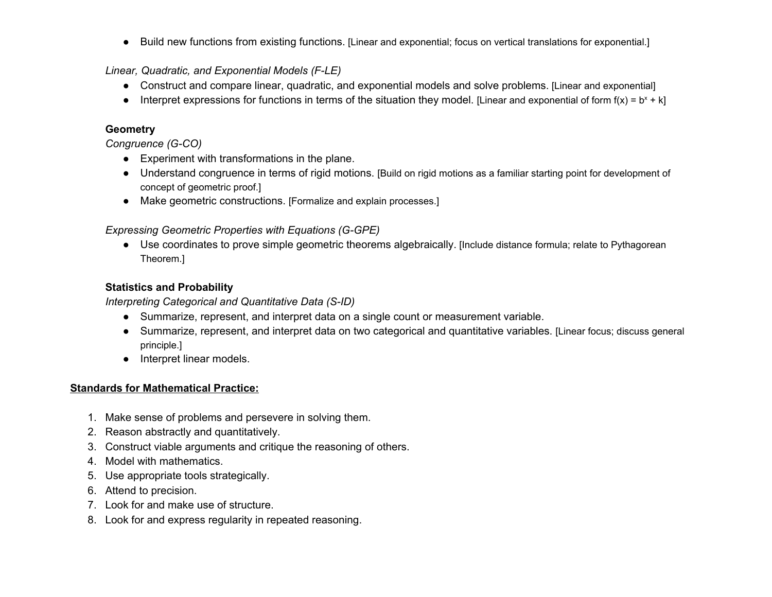● Build new functions from existing functions. [Linear and exponential; focus on vertical translations for exponential.]

*Linear, Quadratic, and Exponential Models (F-LE)*

- Construct and compare linear, quadratic, and exponential models and solve problems. [Linear and exponential]
- Interpret expressions for functions in terms of the situation they model. [Linear and exponential of form  $f(x) = b^x + k$ ]

#### **Geometry**

*Congruence (G-CO)*

- Experiment with transformations in the plane.
- Understand congruence in terms of rigid motions. [Build on rigid motions as a familiar starting point for development of concept of geometric proof.]
- Make geometric constructions. [Formalize and explain processes.]

# *Expressing Geometric Properties with Equations (G-GPE)*

● Use coordinates to prove simple geometric theorems algebraically. [Include distance formula; relate to Pythagorean Theorem.]

## **Statistics and Probability**

*Interpreting Categorical and Quantitative Data (S-ID)*

- Summarize, represent, and interpret data on a single count or measurement variable.
- Summarize, represent, and interpret data on two categorical and quantitative variables. [Linear focus; discuss general principle.]
- Interpret linear models.

## **Standards for Mathematical Practice:**

- 1. Make sense of problems and persevere in solving them.
- 2. Reason abstractly and quantitatively.
- 3. Construct viable arguments and critique the reasoning of others.
- 4. Model with mathematics.
- 5. Use appropriate tools strategically.
- 6. Attend to precision.
- 7. Look for and make use of structure.
- 8. Look for and express regularity in repeated reasoning.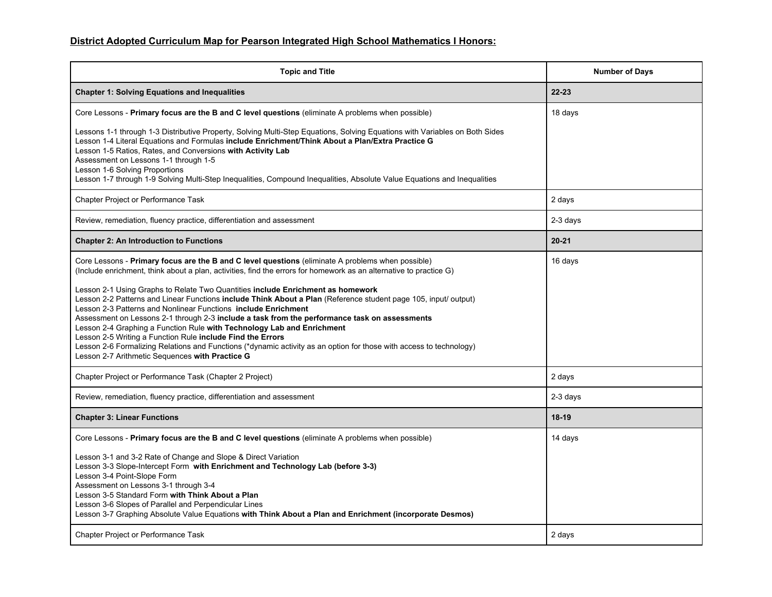# **District Adopted Curriculum Map for Pearson Integrated High School Mathematics I Honors:**

| <b>Topic and Title</b>                                                                                                                                                                                                                                                                                                                                                                                                                                                                                                                                                                                                                                                                                                                                                                                                                                                                                                                                                        | <b>Number of Days</b> |  |  |
|-------------------------------------------------------------------------------------------------------------------------------------------------------------------------------------------------------------------------------------------------------------------------------------------------------------------------------------------------------------------------------------------------------------------------------------------------------------------------------------------------------------------------------------------------------------------------------------------------------------------------------------------------------------------------------------------------------------------------------------------------------------------------------------------------------------------------------------------------------------------------------------------------------------------------------------------------------------------------------|-----------------------|--|--|
| <b>Chapter 1: Solving Equations and Inequalities</b>                                                                                                                                                                                                                                                                                                                                                                                                                                                                                                                                                                                                                                                                                                                                                                                                                                                                                                                          | $22 - 23$             |  |  |
| Core Lessons - Primary focus are the B and C level questions (eliminate A problems when possible)                                                                                                                                                                                                                                                                                                                                                                                                                                                                                                                                                                                                                                                                                                                                                                                                                                                                             | 18 days               |  |  |
| Lessons 1-1 through 1-3 Distributive Property, Solving Multi-Step Equations, Solving Equations with Variables on Both Sides<br>Lesson 1-4 Literal Equations and Formulas include Enrichment/Think About a Plan/Extra Practice G<br>Lesson 1-5 Ratios, Rates, and Conversions with Activity Lab<br>Assessment on Lessons 1-1 through 1-5<br>Lesson 1-6 Solving Proportions<br>Lesson 1-7 through 1-9 Solving Multi-Step Inequalities, Compound Inequalities, Absolute Value Equations and Inequalities                                                                                                                                                                                                                                                                                                                                                                                                                                                                         |                       |  |  |
| <b>Chapter Project or Performance Task</b>                                                                                                                                                                                                                                                                                                                                                                                                                                                                                                                                                                                                                                                                                                                                                                                                                                                                                                                                    | 2 days                |  |  |
| Review, remediation, fluency practice, differentiation and assessment                                                                                                                                                                                                                                                                                                                                                                                                                                                                                                                                                                                                                                                                                                                                                                                                                                                                                                         | 2-3 days              |  |  |
| <b>Chapter 2: An Introduction to Functions</b>                                                                                                                                                                                                                                                                                                                                                                                                                                                                                                                                                                                                                                                                                                                                                                                                                                                                                                                                | $20 - 21$             |  |  |
| Core Lessons - Primary focus are the B and C level questions (eliminate A problems when possible)<br>(Include enrichment, think about a plan, activities, find the errors for homework as an alternative to practice G)<br>Lesson 2-1 Using Graphs to Relate Two Quantities include Enrichment as homework<br>Lesson 2-2 Patterns and Linear Functions include Think About a Plan (Reference student page 105, input/ output)<br>Lesson 2-3 Patterns and Nonlinear Functions include Enrichment<br>Assessment on Lessons 2-1 through 2-3 include a task from the performance task on assessments<br>Lesson 2-4 Graphing a Function Rule with Technology Lab and Enrichment<br>Lesson 2-5 Writing a Function Rule include Find the Errors<br>Lesson 2-6 Formalizing Relations and Functions (*dynamic activity as an option for those with access to technology)<br>Lesson 2-7 Arithmetic Sequences with Practice G<br>Chapter Project or Performance Task (Chapter 2 Project) | 16 days<br>2 days     |  |  |
| Review, remediation, fluency practice, differentiation and assessment                                                                                                                                                                                                                                                                                                                                                                                                                                                                                                                                                                                                                                                                                                                                                                                                                                                                                                         | 2-3 days              |  |  |
| <b>Chapter 3: Linear Functions</b>                                                                                                                                                                                                                                                                                                                                                                                                                                                                                                                                                                                                                                                                                                                                                                                                                                                                                                                                            | $18-19$               |  |  |
| Core Lessons - Primary focus are the B and C level questions (eliminate A problems when possible)<br>Lesson 3-1 and 3-2 Rate of Change and Slope & Direct Variation<br>Lesson 3-3 Slope-Intercept Form with Enrichment and Technology Lab (before 3-3)<br>Lesson 3-4 Point-Slope Form<br>Assessment on Lessons 3-1 through 3-4<br>Lesson 3-5 Standard Form with Think About a Plan<br>Lesson 3-6 Slopes of Parallel and Perpendicular Lines<br>Lesson 3-7 Graphing Absolute Value Equations with Think About a Plan and Enrichment (incorporate Desmos)                                                                                                                                                                                                                                                                                                                                                                                                                       | 14 days               |  |  |
| <b>Chapter Project or Performance Task</b>                                                                                                                                                                                                                                                                                                                                                                                                                                                                                                                                                                                                                                                                                                                                                                                                                                                                                                                                    | 2 days                |  |  |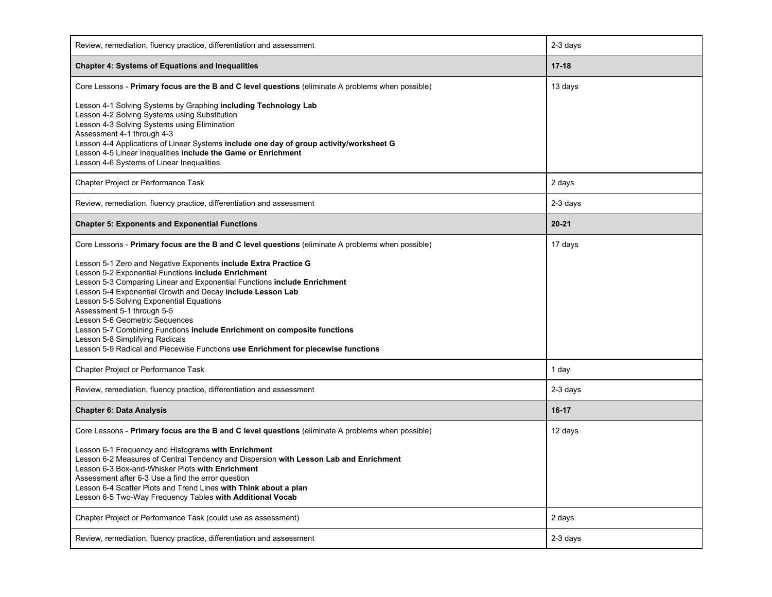| Review, remediation, fluency practice, differentiation and assessment                                                                                                                                                                                                                                                                                                                                                                                                                                                                                                                                                                                                                                                        | 2-3 days         |  |  |
|------------------------------------------------------------------------------------------------------------------------------------------------------------------------------------------------------------------------------------------------------------------------------------------------------------------------------------------------------------------------------------------------------------------------------------------------------------------------------------------------------------------------------------------------------------------------------------------------------------------------------------------------------------------------------------------------------------------------------|------------------|--|--|
| <b>Chapter 4: Systems of Equations and Inequalities</b>                                                                                                                                                                                                                                                                                                                                                                                                                                                                                                                                                                                                                                                                      | $17 - 18$        |  |  |
| Core Lessons - Primary focus are the B and C level questions (eliminate A problems when possible)                                                                                                                                                                                                                                                                                                                                                                                                                                                                                                                                                                                                                            | 13 days          |  |  |
| Lesson 4-1 Solving Systems by Graphing including Technology Lab<br>Lesson 4-2 Solving Systems using Substitution<br>Lesson 4-3 Solving Systems using Elimination<br>Assessment 4-1 through 4-3<br>Lesson 4-4 Applications of Linear Systems include one day of group activity/worksheet G<br>Lesson 4-5 Linear Inequalities include the Game or Enrichment<br>Lesson 4-6 Systems of Linear Inequalities                                                                                                                                                                                                                                                                                                                      |                  |  |  |
| Chapter Project or Performance Task                                                                                                                                                                                                                                                                                                                                                                                                                                                                                                                                                                                                                                                                                          | 2 days           |  |  |
| Review, remediation, fluency practice, differentiation and assessment                                                                                                                                                                                                                                                                                                                                                                                                                                                                                                                                                                                                                                                        | 2-3 days         |  |  |
| <b>Chapter 5: Exponents and Exponential Functions</b>                                                                                                                                                                                                                                                                                                                                                                                                                                                                                                                                                                                                                                                                        | $20 - 21$        |  |  |
| Core Lessons - Primary focus are the B and C level questions (eliminate A problems when possible)<br>Lesson 5-1 Zero and Negative Exponents include Extra Practice G<br>Lesson 5-2 Exponential Functions include Enrichment<br>Lesson 5-3 Comparing Linear and Exponential Functions include Enrichment<br>Lesson 5-4 Exponential Growth and Decay include Lesson Lab<br>Lesson 5-5 Solving Exponential Equations<br>Assessment 5-1 through 5-5<br>Lesson 5-6 Geometric Sequences<br>Lesson 5-7 Combining Functions include Enrichment on composite functions<br>Lesson 5-8 Simplifying Radicals<br>Lesson 5-9 Radical and Piecewise Functions use Enrichment for piecewise functions<br>Chapter Project or Performance Task | 17 days<br>1 day |  |  |
| Review, remediation, fluency practice, differentiation and assessment                                                                                                                                                                                                                                                                                                                                                                                                                                                                                                                                                                                                                                                        | 2-3 days         |  |  |
| <b>Chapter 6: Data Analysis</b>                                                                                                                                                                                                                                                                                                                                                                                                                                                                                                                                                                                                                                                                                              | $16-17$          |  |  |
| Core Lessons - Primary focus are the B and C level questions (eliminate A problems when possible)<br>Lesson 6-1 Frequency and Histograms with Enrichment<br>Lesson 6-2 Measures of Central Tendency and Dispersion with Lesson Lab and Enrichment<br>Lesson 6-3 Box-and-Whisker Plots with Enrichment<br>Assessment after 6-3 Use a find the error question<br>Lesson 6-4 Scatter Plots and Trend Lines with Think about a plan<br>Lesson 6-5 Two-Way Frequency Tables with Additional Vocab                                                                                                                                                                                                                                 | 12 days          |  |  |
| Chapter Project or Performance Task (could use as assessment)                                                                                                                                                                                                                                                                                                                                                                                                                                                                                                                                                                                                                                                                | 2 days           |  |  |
| Review, remediation, fluency practice, differentiation and assessment                                                                                                                                                                                                                                                                                                                                                                                                                                                                                                                                                                                                                                                        | 2-3 days         |  |  |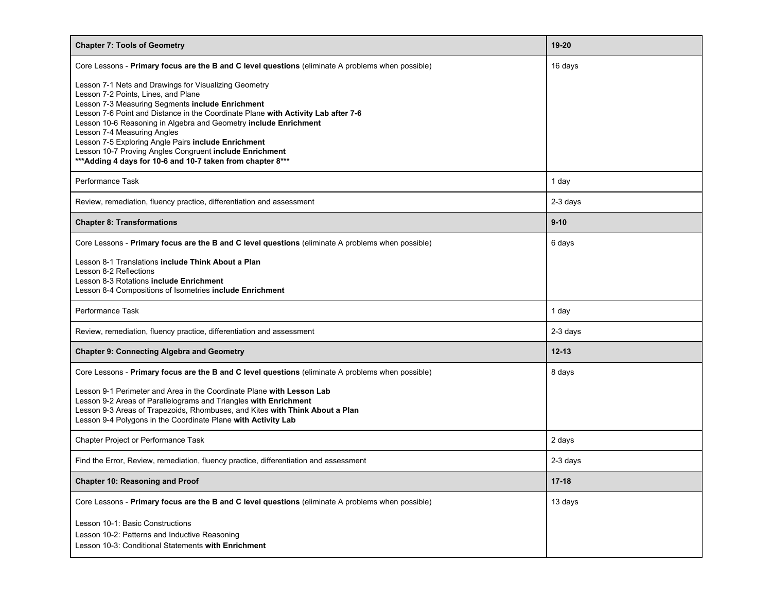| <b>Chapter 7: Tools of Geometry</b>                                                                                                                                                                                                                                                                                                                                                                                                                                                                                       | 19-20     |  |  |
|---------------------------------------------------------------------------------------------------------------------------------------------------------------------------------------------------------------------------------------------------------------------------------------------------------------------------------------------------------------------------------------------------------------------------------------------------------------------------------------------------------------------------|-----------|--|--|
| Core Lessons - Primary focus are the B and C level questions (eliminate A problems when possible)                                                                                                                                                                                                                                                                                                                                                                                                                         | 16 days   |  |  |
| Lesson 7-1 Nets and Drawings for Visualizing Geometry<br>Lesson 7-2 Points, Lines, and Plane<br>Lesson 7-3 Measuring Segments include Enrichment<br>Lesson 7-6 Point and Distance in the Coordinate Plane with Activity Lab after 7-6<br>Lesson 10-6 Reasoning in Algebra and Geometry include Enrichment<br>Lesson 7-4 Measuring Angles<br>Lesson 7-5 Exploring Angle Pairs include Enrichment<br>Lesson 10-7 Proving Angles Congruent include Enrichment<br>*** Adding 4 days for 10-6 and 10-7 taken from chapter 8*** |           |  |  |
| Performance Task                                                                                                                                                                                                                                                                                                                                                                                                                                                                                                          | 1 day     |  |  |
| Review, remediation, fluency practice, differentiation and assessment                                                                                                                                                                                                                                                                                                                                                                                                                                                     | 2-3 days  |  |  |
| <b>Chapter 8: Transformations</b>                                                                                                                                                                                                                                                                                                                                                                                                                                                                                         | $9-10$    |  |  |
| Core Lessons - Primary focus are the B and C level questions (eliminate A problems when possible)                                                                                                                                                                                                                                                                                                                                                                                                                         | 6 days    |  |  |
| Lesson 8-1 Translations include Think About a Plan<br>Lesson 8-2 Reflections<br>Lesson 8-3 Rotations include Enrichment<br>Lesson 8-4 Compositions of Isometries include Enrichment                                                                                                                                                                                                                                                                                                                                       |           |  |  |
| Performance Task                                                                                                                                                                                                                                                                                                                                                                                                                                                                                                          | 1 day     |  |  |
| Review, remediation, fluency practice, differentiation and assessment                                                                                                                                                                                                                                                                                                                                                                                                                                                     | 2-3 days  |  |  |
| <b>Chapter 9: Connecting Algebra and Geometry</b>                                                                                                                                                                                                                                                                                                                                                                                                                                                                         | $12 - 13$ |  |  |
| Core Lessons - Primary focus are the B and C level questions (eliminate A problems when possible)                                                                                                                                                                                                                                                                                                                                                                                                                         | 8 days    |  |  |
| Lesson 9-1 Perimeter and Area in the Coordinate Plane with Lesson Lab<br>Lesson 9-2 Areas of Parallelograms and Triangles with Enrichment<br>Lesson 9-3 Areas of Trapezoids, Rhombuses, and Kites with Think About a Plan<br>Lesson 9-4 Polygons in the Coordinate Plane with Activity Lab                                                                                                                                                                                                                                |           |  |  |
| Chapter Project or Performance Task                                                                                                                                                                                                                                                                                                                                                                                                                                                                                       | 2 days    |  |  |
| Find the Error, Review, remediation, fluency practice, differentiation and assessment                                                                                                                                                                                                                                                                                                                                                                                                                                     | 2-3 days  |  |  |
| <b>Chapter 10: Reasoning and Proof</b>                                                                                                                                                                                                                                                                                                                                                                                                                                                                                    | $17 - 18$ |  |  |
| Core Lessons - Primary focus are the B and C level questions (eliminate A problems when possible)                                                                                                                                                                                                                                                                                                                                                                                                                         | 13 days   |  |  |
| Lesson 10-1: Basic Constructions<br>Lesson 10-2: Patterns and Inductive Reasoning<br>Lesson 10-3: Conditional Statements with Enrichment                                                                                                                                                                                                                                                                                                                                                                                  |           |  |  |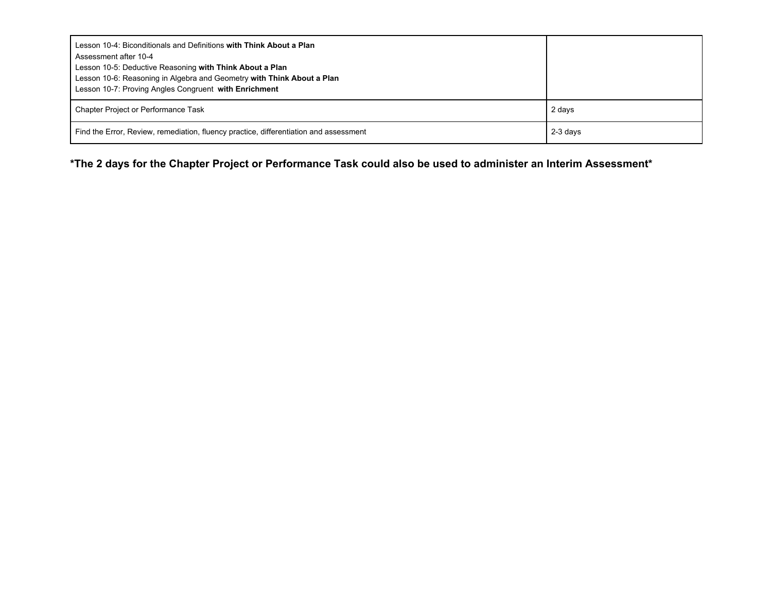| Lesson 10-4: Biconditionals and Definitions with Think About a Plan<br>Assessment after 10-4<br>Lesson 10-5: Deductive Reasoning with Think About a Plan<br>Lesson 10-6: Reasoning in Algebra and Geometry with Think About a Plan<br>Lesson 10-7: Proving Angles Congruent with Enrichment |          |
|---------------------------------------------------------------------------------------------------------------------------------------------------------------------------------------------------------------------------------------------------------------------------------------------|----------|
| <b>Chapter Project or Performance Task</b>                                                                                                                                                                                                                                                  | 2 days   |
| Find the Error, Review, remediation, fluency practice, differentiation and assessment                                                                                                                                                                                                       | 2-3 days |

\*The 2 days for the Chapter Project or Performance Task could also be used to administer an Interim Assessment\*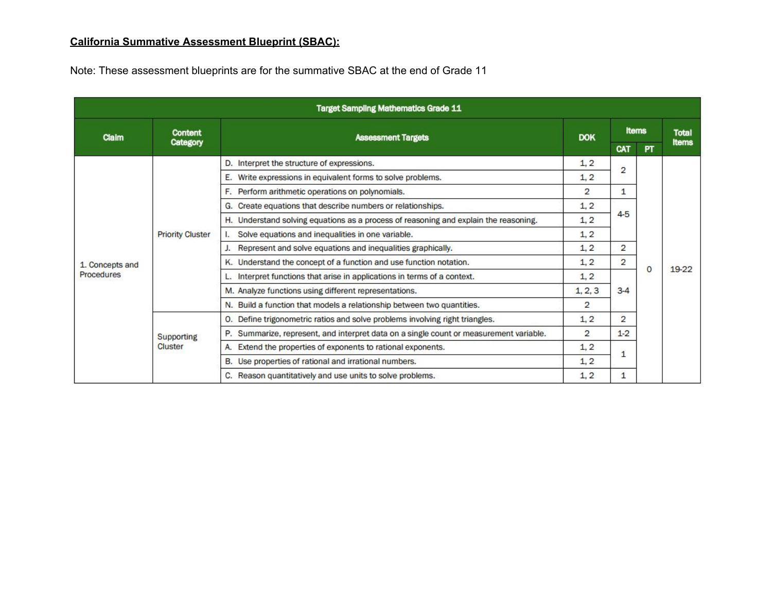# **California Summative Assessment Blueprint (SBAC):**

Note: These assessment blueprints are for the summative SBAC at the end of Grade 11

| <b>Target Sampling Mathematics Grade 11</b> |                              |                                                                                      |                |                                                              |           |              |  |
|---------------------------------------------|------------------------------|--------------------------------------------------------------------------------------|----------------|--------------------------------------------------------------|-----------|--------------|--|
| Claim                                       | <b>Content</b><br>Category   | <b>Assessment Targets</b>                                                            | <b>DOK</b>     | <b>Items</b>                                                 |           | <b>Total</b> |  |
|                                             |                              |                                                                                      |                | CAT                                                          | <b>PT</b> | <b>Items</b> |  |
|                                             | <b>Priority Cluster</b>      | D. Interpret the structure of expressions.                                           | 1, 2           | 2                                                            |           |              |  |
|                                             |                              | Write expressions in equivalent forms to solve problems.<br>Е.                       | 1, 2           |                                                              |           | 19-22        |  |
|                                             |                              | F. Perform arithmetic operations on polynomials.                                     | $\overline{2}$ | 1                                                            |           |              |  |
|                                             |                              | G. Create equations that describe numbers or relationships.                          | 1, 2           |                                                              |           |              |  |
|                                             |                              | H. Understand solving equations as a process of reasoning and explain the reasoning. | 1, 2           | $4 - 5$                                                      |           |              |  |
|                                             |                              | Solve equations and inequalities in one variable.                                    | 1, 2           |                                                              |           |              |  |
|                                             |                              | Represent and solve equations and inequalities graphically.                          | 1, 2           | 2                                                            |           |              |  |
| 1. Concepts and                             |                              | K. Understand the concept of a function and use function notation.                   | 1, 2           | 2<br>$\circ$<br>$3-4$<br>$\overline{2}$<br>$1 - 2$<br>1<br>1 |           |              |  |
| <b>Procedures</b>                           |                              | Interpret functions that arise in applications in terms of a context.                | 1, 2           |                                                              |           |              |  |
|                                             |                              | M. Analyze functions using different representations.                                | 1, 2, 3        |                                                              |           |              |  |
|                                             |                              | N. Build a function that models a relationship between two quantities.               | 2              |                                                              |           |              |  |
|                                             | <b>Supporting</b><br>Cluster | O. Define trigonometric ratios and solve problems involving right triangles.         | 1, 2           |                                                              |           |              |  |
|                                             |                              | Summarize, represent, and interpret data on a single count or measurement variable.  | $\overline{2}$ |                                                              |           |              |  |
|                                             |                              | Extend the properties of exponents to rational exponents.<br>А.                      | 1, 2           |                                                              |           |              |  |
|                                             |                              | B. Use properties of rational and irrational numbers.                                | 1, 2           |                                                              |           |              |  |
|                                             |                              | C. Reason quantitatively and use units to solve problems.                            | 1, 2           |                                                              |           |              |  |